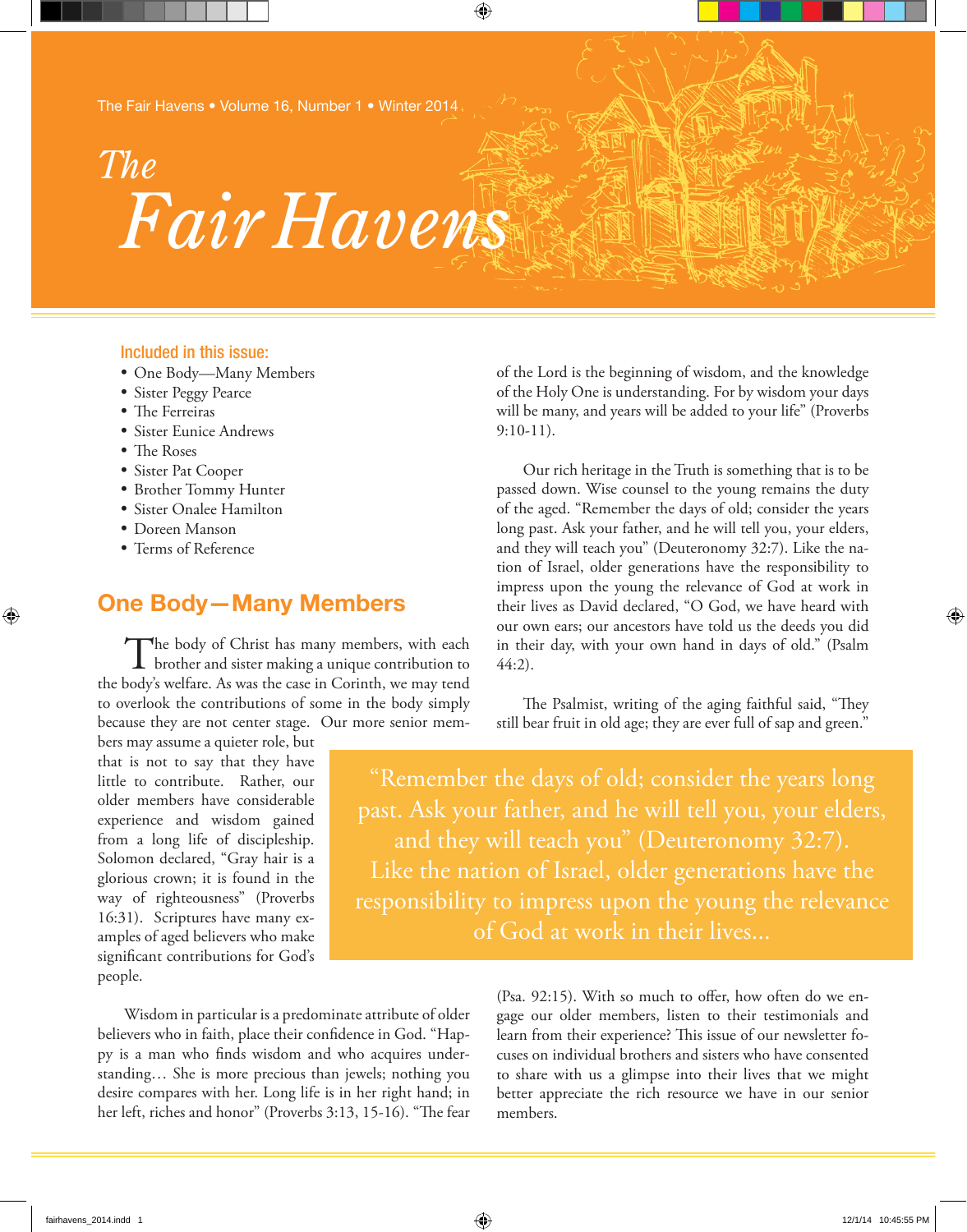*Fair Havens The*

#### Included in this issue:

- • One Body—Many Members
- • Sister Peggy Pearce
- The Ferreiras
- Sister Eunice Andrews
- The Roses

⊕

- • Sister Pat Cooper
- • Brother Tommy Hunter
- • Sister Onalee Hamilton
- • Doreen Manson
- • Terms of Reference

# **One Body—Many Members**

The body of Christ has many members, with each brother and sister making a unique contribution to the body's welfare. As was the case in Corinth, we may tend to overlook the contributions of some in the body simply because they are not center stage. Our more senior mem-

bers may assume a quieter role, but that is not to say that they have little to contribute. Rather, our older members have considerable experience and wisdom gained from a long life of discipleship. Solomon declared, "Gray hair is a glorious crown; it is found in the way of righteousness" (Proverbs 16:31). Scriptures have many examples of aged believers who make significant contributions for God's people.

impress upon the young the relevance of God at work in their lives as David declared, "O God, we have heard with our own ears; our ancestors have told us the deeds you did in their day, with your own hand in days of old." (Psalm 44:2). The Psalmist, writing of the aging faithful said, "They still bear fruit in old age; they are ever full of sap and green."

9:10-11).

⊕

of the Lord is the beginning of wisdom, and the knowledge of the Holy One is understanding. For by wisdom your days will be many, and years will be added to your life" (Proverbs

Our rich heritage in the Truth is something that is to be passed down. Wise counsel to the young remains the duty of the aged. "Remember the days of old; consider the years long past. Ask your father, and he will tell you, your elders, and they will teach you" (Deuteronomy 32:7). Like the nation of Israel, older generations have the responsibility to

"Remember the days of old; consider the years long past. Ask your father, and he will tell you, your elders, Like the nation of Israel, older generations have the responsibility to impress upon the young the relevance of God at work in their lives...

Wisdom in particular is a predominate attribute of older believers who in faith, place their confidence in God. "Happy is a man who finds wisdom and who acquires understanding… She is more precious than jewels; nothing you desire compares with her. Long life is in her right hand; in her left, riches and honor" (Proverbs 3:13, 15-16). "The fear

(Psa. 92:15). With so much to offer, how often do we engage our older members, listen to their testimonials and learn from their experience? This issue of our newsletter focuses on individual brothers and sisters who have consented to share with us a glimpse into their lives that we might better appreciate the rich resource we have in our senior members.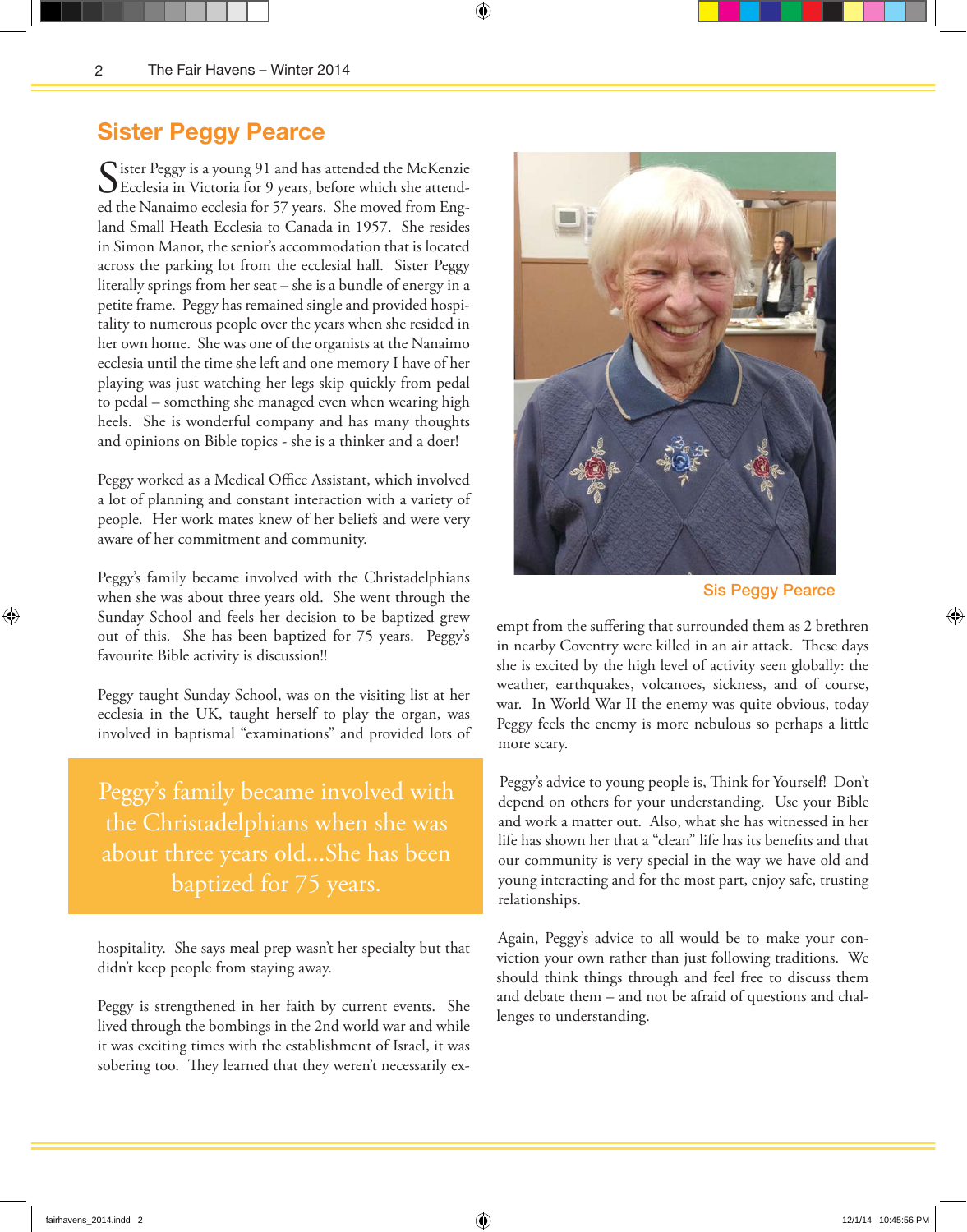## **Sister Peggy Pearce**

Sister Peggy is a young 91 and has attended the McKenzie<br>Ecclesia in Victoria for 9 years, before which she attended the Nanaimo ecclesia for 57 years. She moved from England Small Heath Ecclesia to Canada in 1957. She resides in Simon Manor, the senior's accommodation that is located across the parking lot from the ecclesial hall. Sister Peggy literally springs from her seat – she is a bundle of energy in a petite frame. Peggy has remained single and provided hospitality to numerous people over the years when she resided in her own home. She was one of the organists at the Nanaimo ecclesia until the time she left and one memory I have of her playing was just watching her legs skip quickly from pedal to pedal – something she managed even when wearing high heels. She is wonderful company and has many thoughts and opinions on Bible topics - she is a thinker and a doer!

⊕

Peggy worked as a Medical Office Assistant, which involved a lot of planning and constant interaction with a variety of people. Her work mates knew of her beliefs and were very aware of her commitment and community.

Peggy's family became involved with the Christadelphians when she was about three years old. She went through the Sunday School and feels her decision to be baptized grew out of this. She has been baptized for 75 years. Peggy's favourite Bible activity is discussion!!

Peggy taught Sunday School, was on the visiting list at her ecclesia in the UK, taught herself to play the organ, was involved in baptismal "examinations" and provided lots of

Peggy's family became involved with the Christadelphians when she was about three years old...She has been baptized for 75 years.

hospitality. She says meal prep wasn't her specialty but that didn't keep people from staying away.

Peggy is strengthened in her faith by current events. She lived through the bombings in the 2nd world war and while it was exciting times with the establishment of Israel, it was sobering too. They learned that they weren't necessarily ex-



Sis Peggy Pearce

empt from the suffering that surrounded them as 2 brethren in nearby Coventry were killed in an air attack. These days she is excited by the high level of activity seen globally: the weather, earthquakes, volcanoes, sickness, and of course, war. In World War II the enemy was quite obvious, today Peggy feels the enemy is more nebulous so perhaps a little more scary.

Peggy's advice to young people is, Think for Yourself! Don't depend on others for your understanding. Use your Bible and work a matter out. Also, what she has witnessed in her life has shown her that a "clean" life has its benefits and that our community is very special in the way we have old and young interacting and for the most part, enjoy safe, trusting relationships.

Again, Peggy's advice to all would be to make your conviction your own rather than just following traditions. We should think things through and feel free to discuss them and debate them – and not be afraid of questions and challenges to understanding.

⊕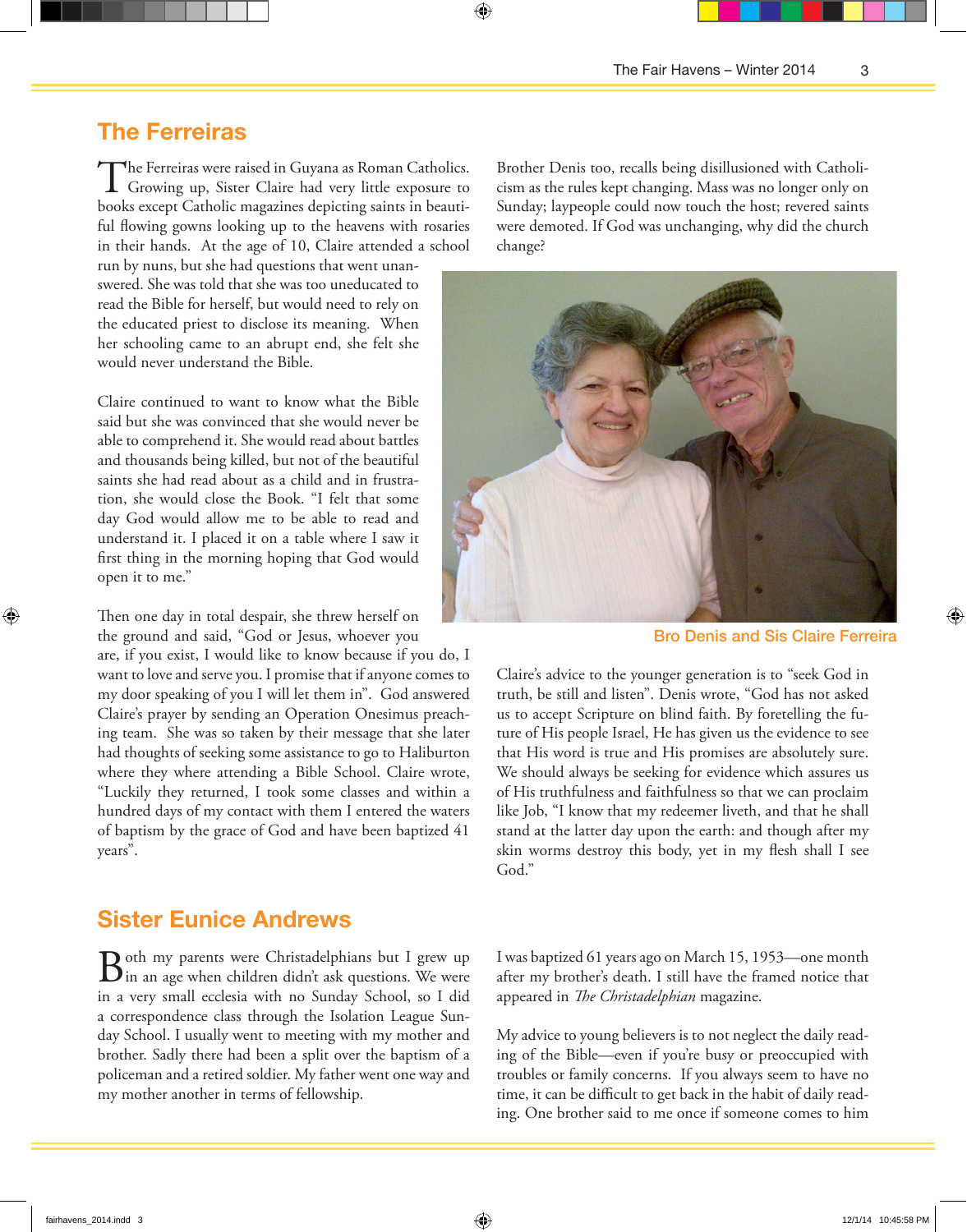### **The Ferreiras**

The Ferreiras were raised in Guyana as Roman Catholics. Growing up, Sister Claire had very little exposure to books except Catholic magazines depicting saints in beautiful flowing gowns looking up to the heavens with rosaries in their hands. At the age of 10, Claire attended a school

⊕

run by nuns, but she had questions that went unanswered. She was told that she was too uneducated to read the Bible for herself, but would need to rely on the educated priest to disclose its meaning. When her schooling came to an abrupt end, she felt she would never understand the Bible.

Claire continued to want to know what the Bible said but she was convinced that she would never be able to comprehend it. She would read about battles and thousands being killed, but not of the beautiful saints she had read about as a child and in frustration, she would close the Book. "I felt that some day God would allow me to be able to read and understand it. I placed it on a table where I saw it first thing in the morning hoping that God would open it to me."

Then one day in total despair, she threw herself on the ground and said, "God or Jesus, whoever you

are, if you exist, I would like to know because if you do, I want to love and serve you. I promise that if anyone comes to my door speaking of you I will let them in". God answered Claire's prayer by sending an Operation Onesimus preaching team. She was so taken by their message that she later had thoughts of seeking some assistance to go to Haliburton where they where attending a Bible School. Claire wrote, "Luckily they returned, I took some classes and within a hundred days of my contact with them I entered the waters of baptism by the grace of God and have been baptized 41 years".

### **Sister Eunice Andrews**

Both my parents were Christadelphians but I grew up<br>in an age when children didn't ask questions. We were in a very small ecclesia with no Sunday School, so I did a correspondence class through the Isolation League Sunday School. I usually went to meeting with my mother and brother. Sadly there had been a split over the baptism of a policeman and a retired soldier. My father went one way and my mother another in terms of fellowship.

Brother Denis too, recalls being disillusioned with Catholicism as the rules kept changing. Mass was no longer only on Sunday; laypeople could now touch the host; revered saints were demoted. If God was unchanging, why did the church change?



Bro Denis and Sis Claire Ferreira

Claire's advice to the younger generation is to "seek God in truth, be still and listen". Denis wrote, "God has not asked us to accept Scripture on blind faith. By foretelling the future of His people Israel, He has given us the evidence to see that His word is true and His promises are absolutely sure. We should always be seeking for evidence which assures us of His truthfulness and faithfulness so that we can proclaim like Job, "I know that my redeemer liveth, and that he shall stand at the latter day upon the earth: and though after my skin worms destroy this body, yet in my flesh shall I see God."

I was baptized 61 years ago on March 15, 1953—one month after my brother's death. I still have the framed notice that appeared in *The Christadelphian* magazine.

My advice to young believers is to not neglect the daily reading of the Bible—even if you're busy or preoccupied with troubles or family concerns. If you always seem to have no time, it can be difficult to get back in the habit of daily reading. One brother said to me once if someone comes to him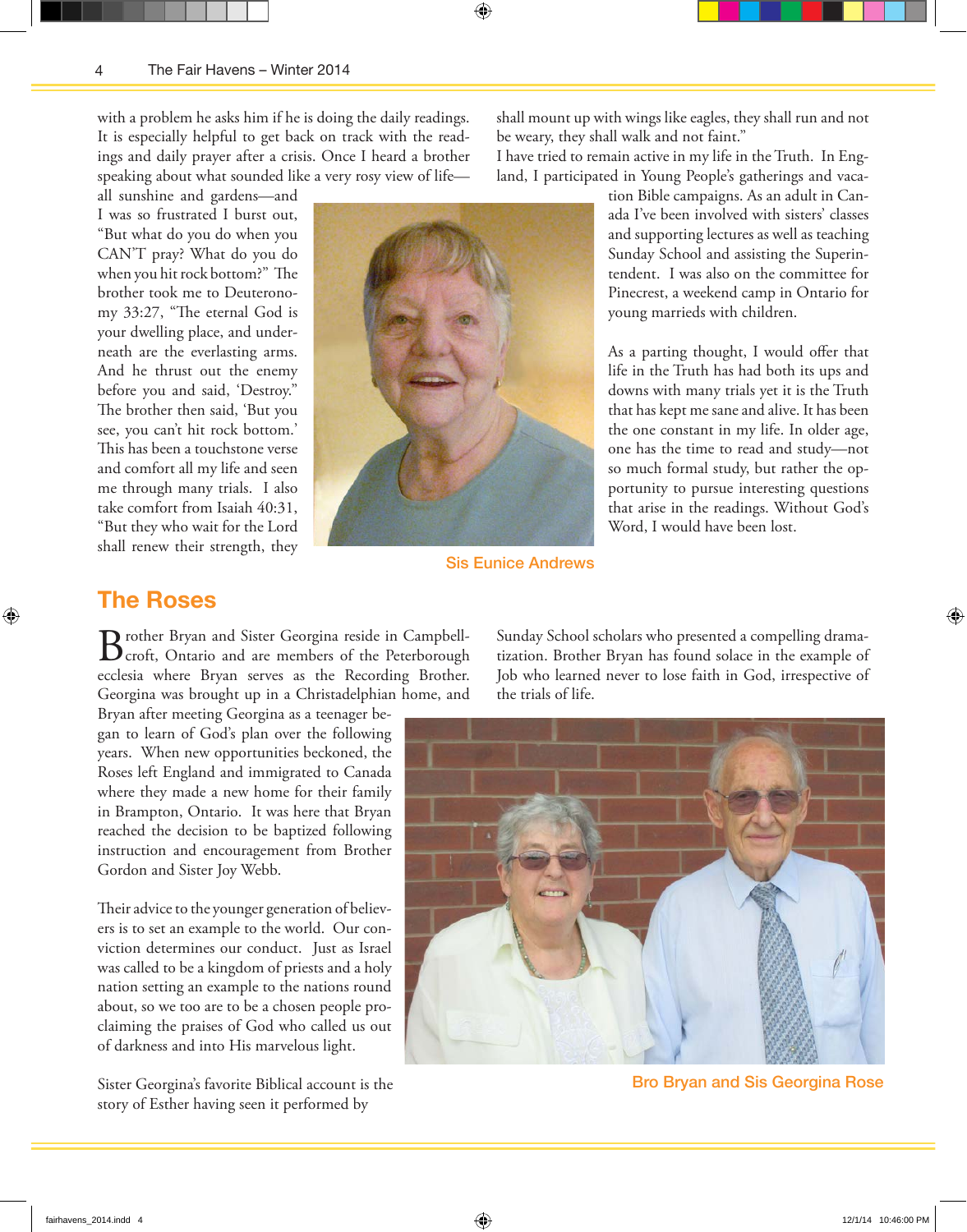with a problem he asks him if he is doing the daily readings. It is especially helpful to get back on track with the readings and daily prayer after a crisis. Once I heard a brother speaking about what sounded like a very rosy view of life—

all sunshine and gardens—and I was so frustrated I burst out, "But what do you do when you CAN'T pray? What do you do when you hit rock bottom?" The brother took me to Deuteronomy 33:27, "The eternal God is your dwelling place, and underneath are the everlasting arms. And he thrust out the enemy before you and said, 'Destroy." The brother then said, 'But you see, you can't hit rock bottom.' This has been a touchstone verse and comfort all my life and seen me through many trials. I also take comfort from Isaiah 40:31, "But they who wait for the Lord shall renew their strength, they



⊕

Sis Eunice Andrews

shall mount up with wings like eagles, they shall run and not be weary, they shall walk and not faint."

I have tried to remain active in my life in the Truth. In England, I participated in Young People's gatherings and vaca-

> tion Bible campaigns. As an adult in Canada I've been involved with sisters' classes and supporting lectures as well as teaching Sunday School and assisting the Superintendent. I was also on the committee for Pinecrest, a weekend camp in Ontario for young marrieds with children.

> As a parting thought, I would offer that life in the Truth has had both its ups and downs with many trials yet it is the Truth that has kept me sane and alive. It has been the one constant in my life. In older age, one has the time to read and study—not so much formal study, but rather the opportunity to pursue interesting questions that arise in the readings. Without God's Word, I would have been lost.

#### **The Roses**

⊕

Brother Bryan and Sister Georgina reside in Campbell-<br>
croft, Ontario and are members of the Peterborough ecclesia where Bryan serves as the Recording Brother. Georgina was brought up in a Christadelphian home, and

Bryan after meeting Georgina as a teenager began to learn of God's plan over the following years. When new opportunities beckoned, the Roses left England and immigrated to Canada where they made a new home for their family in Brampton, Ontario. It was here that Bryan reached the decision to be baptized following instruction and encouragement from Brother Gordon and Sister Joy Webb.

Their advice to the younger generation of believers is to set an example to the world. Our conviction determines our conduct. Just as Israel was called to be a kingdom of priests and a holy nation setting an example to the nations round about, so we too are to be a chosen people proclaiming the praises of God who called us out of darkness and into His marvelous light.

Sister Georgina's favorite Biblical account is the story of Esther having seen it performed by

Sunday School scholars who presented a compelling dramatization. Brother Bryan has found solace in the example of Job who learned never to lose faith in God, irrespective of the trials of life.



Bro Bryan and Sis Georgina Rose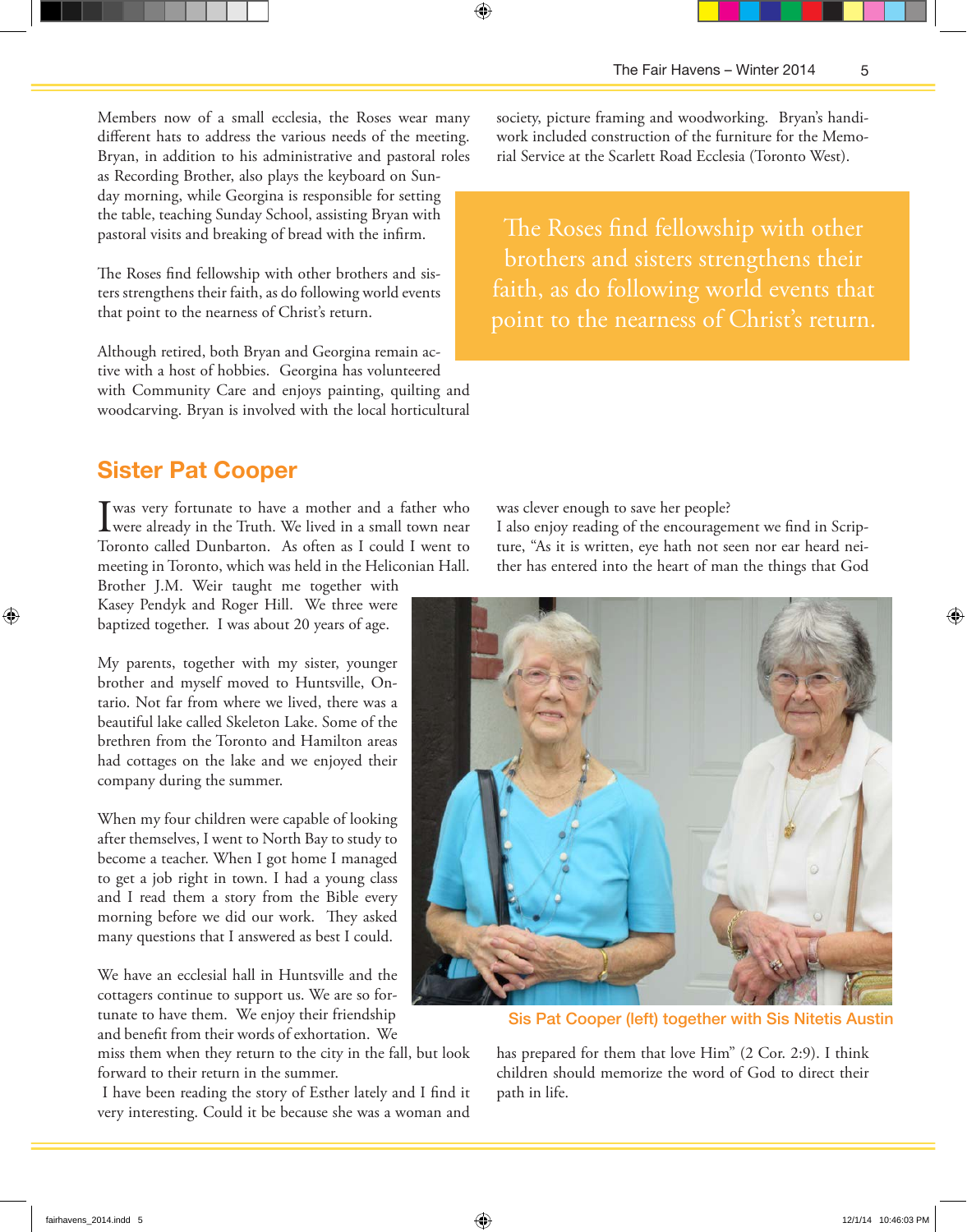Members now of a small ecclesia, the Roses wear many different hats to address the various needs of the meeting. Bryan, in addition to his administrative and pastoral roles as Recording Brother, also plays the keyboard on Sun-

day morning, while Georgina is responsible for setting the table, teaching Sunday School, assisting Bryan with pastoral visits and breaking of bread with the infirm.

The Roses find fellowship with other brothers and sisters strengthens their faith, as do following world events that point to the nearness of Christ's return.

Although retired, both Bryan and Georgina remain active with a host of hobbies. Georgina has volunteered with Community Care and enjoys painting, quilting and woodcarving. Bryan is involved with the local horticultural

## **Sister Pat Cooper**

I was very fortunate to have a mother and a father who were already in the Truth. We lived in a small town near Toronto called Dunbarton. As often as I could I went to meeting in Toronto, which was held in the Heliconian Hall.

Brother J.M. Weir taught me together with Kasey Pendyk and Roger Hill. We three were baptized together. I was about 20 years of age.

My parents, together with my sister, younger brother and myself moved to Huntsville, Ontario. Not far from where we lived, there was a beautiful lake called Skeleton Lake. Some of the brethren from the Toronto and Hamilton areas had cottages on the lake and we enjoyed their company during the summer.

When my four children were capable of looking after themselves, I went to North Bay to study to become a teacher. When I got home I managed to get a job right in town. I had a young class and I read them a story from the Bible every morning before we did our work. They asked many questions that I answered as best I could.

We have an ecclesial hall in Huntsville and the cottagers continue to support us. We are so fortunate to have them. We enjoy their friendship and benefit from their words of exhortation. We

miss them when they return to the city in the fall, but look forward to their return in the summer.

 I have been reading the story of Esther lately and I find it very interesting. Could it be because she was a woman and

society, picture framing and woodworking. Bryan's handiwork included construction of the furniture for the Memorial Service at the Scarlett Road Ecclesia (Toronto West).

⊕

The Roses find fellowship with other brothers and sisters strengthens their faith, as do following world events that point to the nearness of Christ's return.

was clever enough to save her people?

I also enjoy reading of the encouragement we find in Scripture, "As it is written, eye hath not seen nor ear heard neither has entered into the heart of man the things that God



Sis Pat Cooper (left) together with Sis Nitetis Austin

has prepared for them that love Him" (2 Cor. 2:9). I think children should memorize the word of God to direct their path in life.

⊕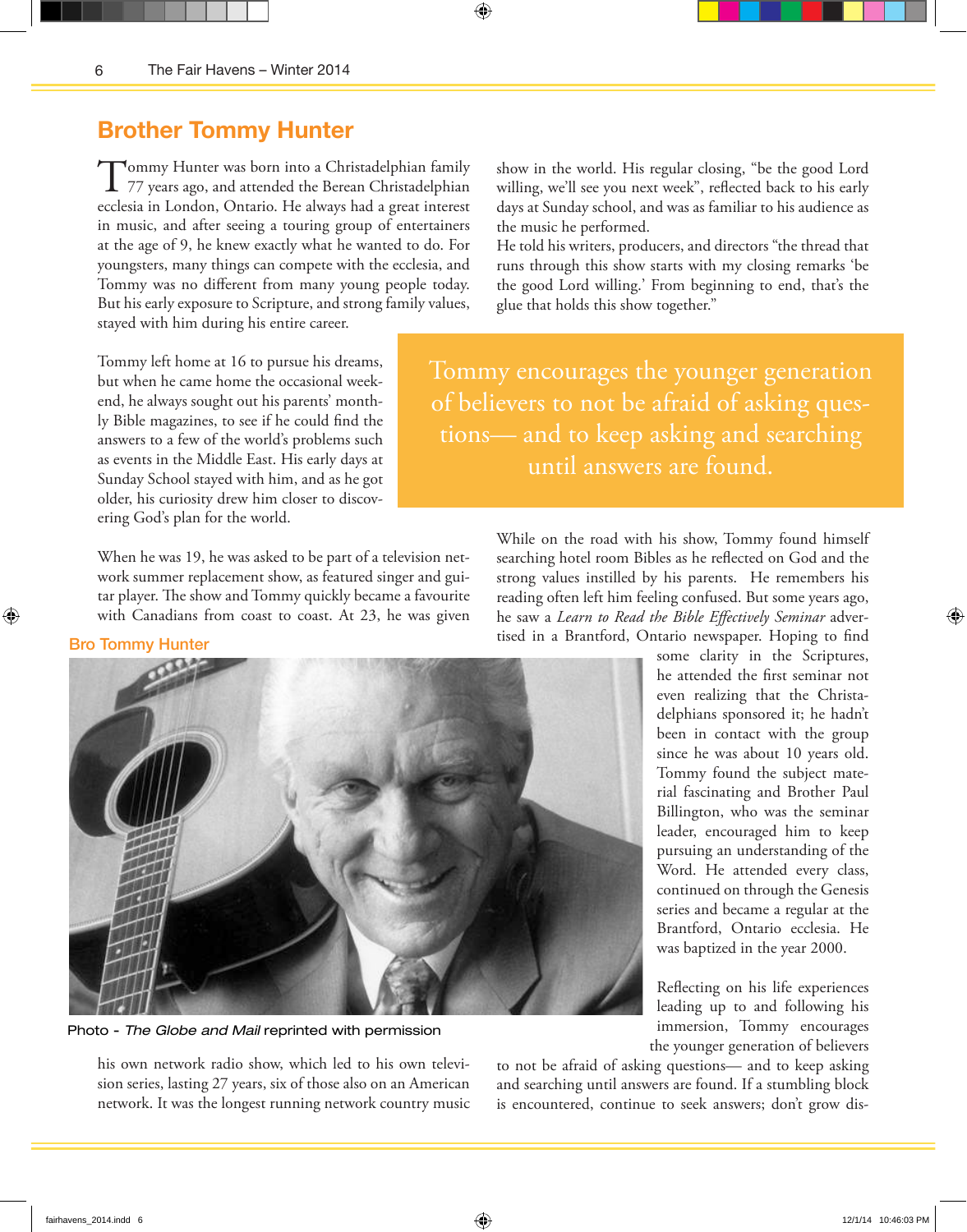## **Brother Tommy Hunter**

Tommy Hunter was born into a Christadelphian family<br>77 years ago, and attended the Berean Christadelphian ecclesia in London, Ontario. He always had a great interest in music, and after seeing a touring group of entertainers at the age of 9, he knew exactly what he wanted to do. For youngsters, many things can compete with the ecclesia, and Tommy was no different from many young people today. But his early exposure to Scripture, and strong family values, stayed with him during his entire career.

Tommy left home at 16 to pursue his dreams, but when he came home the occasional weekend, he always sought out his parents' monthly Bible magazines, to see if he could find the answers to a few of the world's problems such as events in the Middle East. His early days at Sunday School stayed with him, and as he got older, his curiosity drew him closer to discovering God's plan for the world.

When he was 19, he was asked to be part of a television network summer replacement show, as featured singer and guitar player. The show and Tommy quickly became a favourite with Canadians from coast to coast. At 23, he was given

show in the world. His regular closing, "be the good Lord willing, we'll see you next week", reflected back to his early days at Sunday school, and was as familiar to his audience as the music he performed.

He told his writers, producers, and directors "the thread that runs through this show starts with my closing remarks 'be the good Lord willing.' From beginning to end, that's the glue that holds this show together."

Tommy encourages the younger generation of believers to not be afraid of asking questions— and to keep asking and searching until answers are found.

> While on the road with his show, Tommy found himself searching hotel room Bibles as he reflected on God and the strong values instilled by his parents. He remembers his reading often left him feeling confused. But some years ago, he saw a *Learn to Read the Bible Effectively Seminar* advertised in a Brantford, Ontario newspaper. Hoping to find

Photo - *The Globe and Mail* reprinted with permission

his own network radio show, which led to his own television series, lasting 27 years, six of those also on an American network. It was the longest running network country music some clarity in the Scriptures, he attended the first seminar not even realizing that the Christadelphians sponsored it; he hadn't been in contact with the group since he was about 10 years old. Tommy found the subject material fascinating and Brother Paul Billington, who was the seminar leader, encouraged him to keep pursuing an understanding of the Word. He attended every class, continued on through the Genesis series and became a regular at the Brantford, Ontario ecclesia. He was baptized in the year 2000.

Reflecting on his life experiences leading up to and following his immersion, Tommy encourages the younger generation of believers

to not be afraid of asking questions— and to keep asking and searching until answers are found. If a stumbling block is encountered, continue to seek answers; don't grow dis-



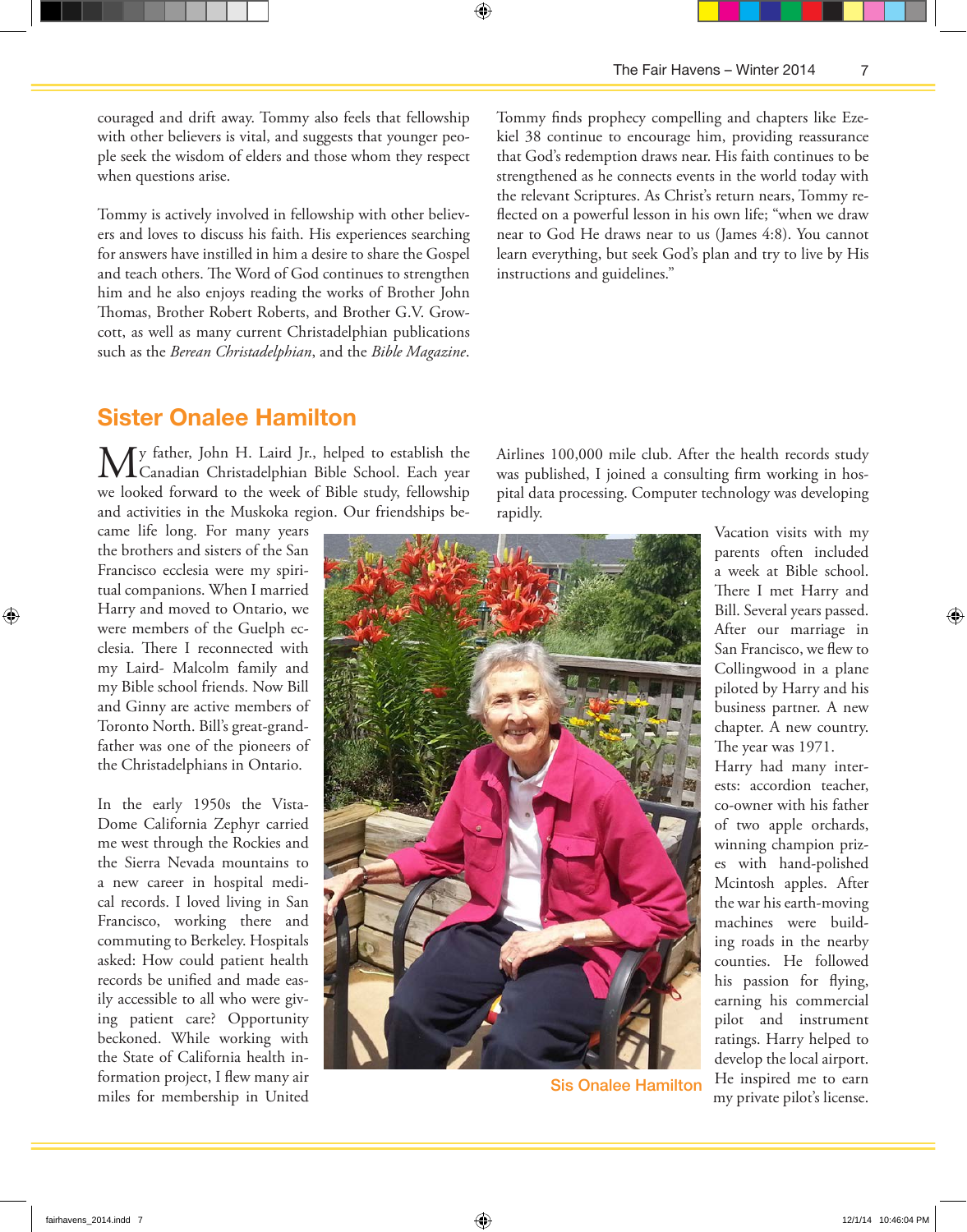couraged and drift away. Tommy also feels that fellowship with other believers is vital, and suggests that younger people seek the wisdom of elders and those whom they respect when questions arise.

Tommy is actively involved in fellowship with other believers and loves to discuss his faith. His experiences searching for answers have instilled in him a desire to share the Gospel and teach others. The Word of God continues to strengthen him and he also enjoys reading the works of Brother John Thomas, Brother Robert Roberts, and Brother G.V. Growcott, as well as many current Christadelphian publications such as the *Berean Christadelphian*, and the *Bible Magazine*. Tommy finds prophecy compelling and chapters like Ezekiel 38 continue to encourage him, providing reassurance that God's redemption draws near. His faith continues to be strengthened as he connects events in the world today with the relevant Scriptures. As Christ's return nears, Tommy reflected on a powerful lesson in his own life; "when we draw near to God He draws near to us (James 4:8). You cannot learn everything, but seek God's plan and try to live by His instructions and guidelines."

## **Sister Onalee Hamilton**

My father, John H. Laird Jr., helped to establish the Canadian Christadelphian Bible School. Each year we looked forward to the week of Bible study, fellowship and activities in the Muskoka region. Our friendships be-

came life long. For many years the brothers and sisters of the San Francisco ecclesia were my spiritual companions. When I married Harry and moved to Ontario, we were members of the Guelph ecclesia. There I reconnected with my Laird- Malcolm family and my Bible school friends. Now Bill and Ginny are active members of Toronto North. Bill's great-grandfather was one of the pioneers of the Christadelphians in Ontario.

In the early 1950s the Vista-Dome California Zephyr carried me west through the Rockies and the Sierra Nevada mountains to a new career in hospital medical records. I loved living in San Francisco, working there and commuting to Berkeley. Hospitals asked: How could patient health records be unified and made easily accessible to all who were giving patient care? Opportunity beckoned. While working with the State of California health information project, I flew many air miles for membership in United

Airlines 100,000 mile club. After the health records study was published, I joined a consulting firm working in hospital data processing. Computer technology was developing rapidly.



Sis Onalee Hamilton

Vacation visits with my parents often included a week at Bible school. There I met Harry and Bill. Several years passed. After our marriage in San Francisco, we flew to Collingwood in a plane piloted by Harry and his business partner. A new chapter. A new country. The year was 1971.

Harry had many interests: accordion teacher, co-owner with his father of two apple orchards, winning champion prizes with hand-polished Mcintosh apples. After the war his earth-moving machines were building roads in the nearby counties. He followed his passion for flying, earning his commercial pilot and instrument ratings. Harry helped to develop the local airport. He inspired me to earn my private pilot's license.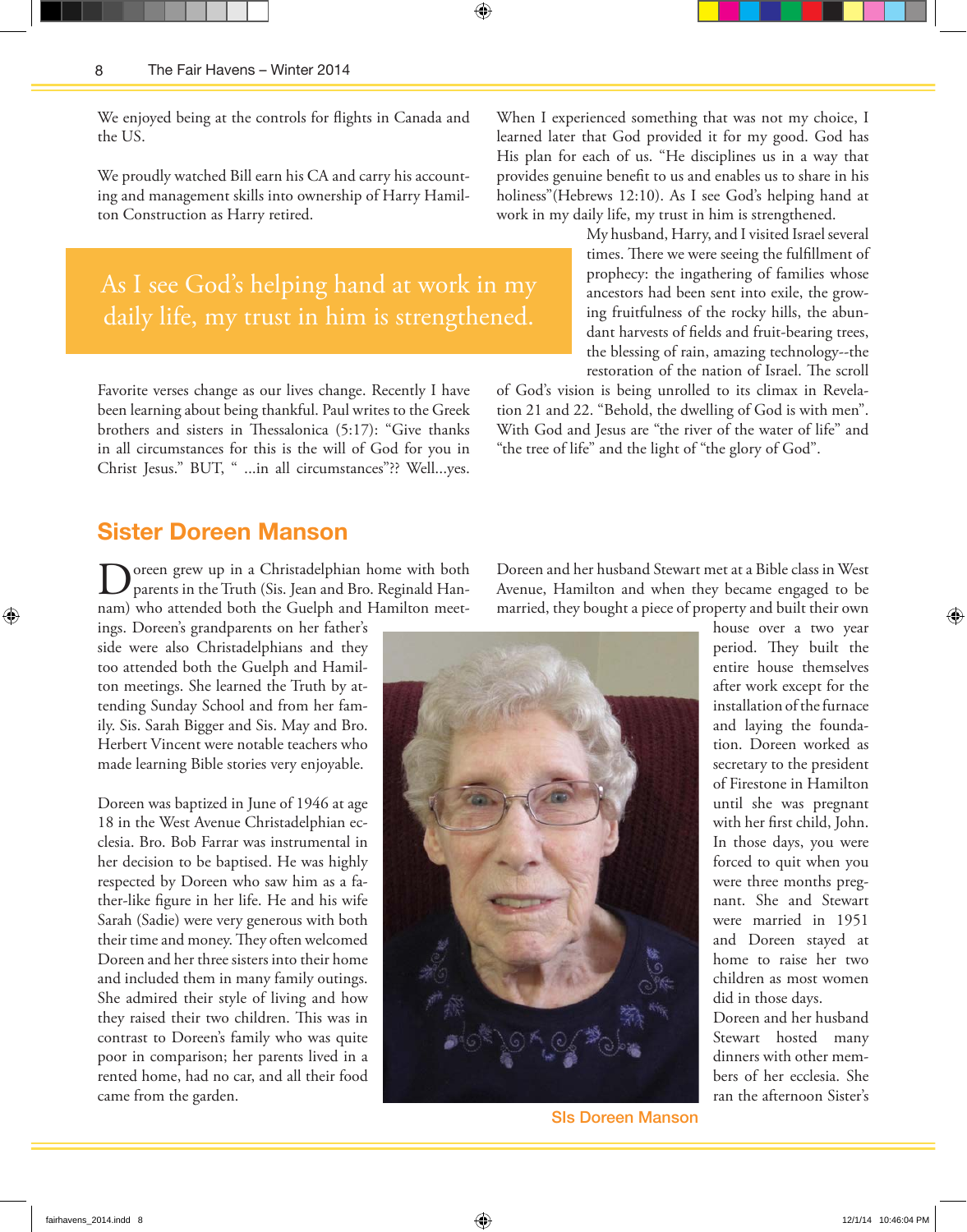We enjoyed being at the controls for flights in Canada and the US.

We proudly watched Bill earn his CA and carry his accounting and management skills into ownership of Harry Hamilton Construction as Harry retired.

As I see God's helping hand at work in my daily life, my trust in him is strengthened.

Favorite verses change as our lives change. Recently I have been learning about being thankful. Paul writes to the Greek brothers and sisters in Thessalonica (5:17): "Give thanks in all circumstances for this is the will of God for you in Christ Jesus." BUT, " ...in all circumstances"?? Well...yes.

### **Sister Doreen Manson**

Doreen grew up in a Christadelphian home with both parents in the Truth (Sis. Jean and Bro. Reginald Hannam) who attended both the Guelph and Hamilton meet-

ings. Doreen's grandparents on her father's side were also Christadelphians and they too attended both the Guelph and Hamilton meetings. She learned the Truth by attending Sunday School and from her family. Sis. Sarah Bigger and Sis. May and Bro. Herbert Vincent were notable teachers who made learning Bible stories very enjoyable.

Doreen was baptized in June of 1946 at age 18 in the West Avenue Christadelphian ecclesia. Bro. Bob Farrar was instrumental in her decision to be baptised. He was highly respected by Doreen who saw him as a father-like figure in her life. He and his wife Sarah (Sadie) were very generous with both their time and money. They often welcomed Doreen and her three sisters into their home and included them in many family outings. She admired their style of living and how they raised their two children. This was in contrast to Doreen's family who was quite poor in comparison; her parents lived in a rented home, had no car, and all their food came from the garden.

When I experienced something that was not my choice, I learned later that God provided it for my good. God has His plan for each of us. "He disciplines us in a way that provides genuine benefit to us and enables us to share in his holiness"(Hebrews 12:10). As I see God's helping hand at work in my daily life, my trust in him is strengthened.

> My husband, Harry, and I visited Israel several times. There we were seeing the fulfillment of prophecy: the ingathering of families whose ancestors had been sent into exile, the growing fruitfulness of the rocky hills, the abundant harvests of fields and fruit-bearing trees, the blessing of rain, amazing technology--the restoration of the nation of Israel. The scroll

of God's vision is being unrolled to its climax in Revelation 21 and 22. "Behold, the dwelling of God is with men". With God and Jesus are "the river of the water of life" and "the tree of life" and the light of "the glory of God".

Doreen and her husband Stewart met at a Bible class in West Avenue, Hamilton and when they became engaged to be married, they bought a piece of property and built their own



SIs Doreen Manson

house over a two year period. They built the entire house themselves after work except for the installation of the furnace and laying the foundation. Doreen worked as secretary to the president of Firestone in Hamilton until she was pregnant with her first child, John. In those days, you were forced to quit when you were three months pregnant. She and Stewart were married in 1951 and Doreen stayed at home to raise her two children as most women did in those days.

Doreen and her husband Stewart hosted many dinners with other members of her ecclesia. She ran the afternoon Sister's

⊕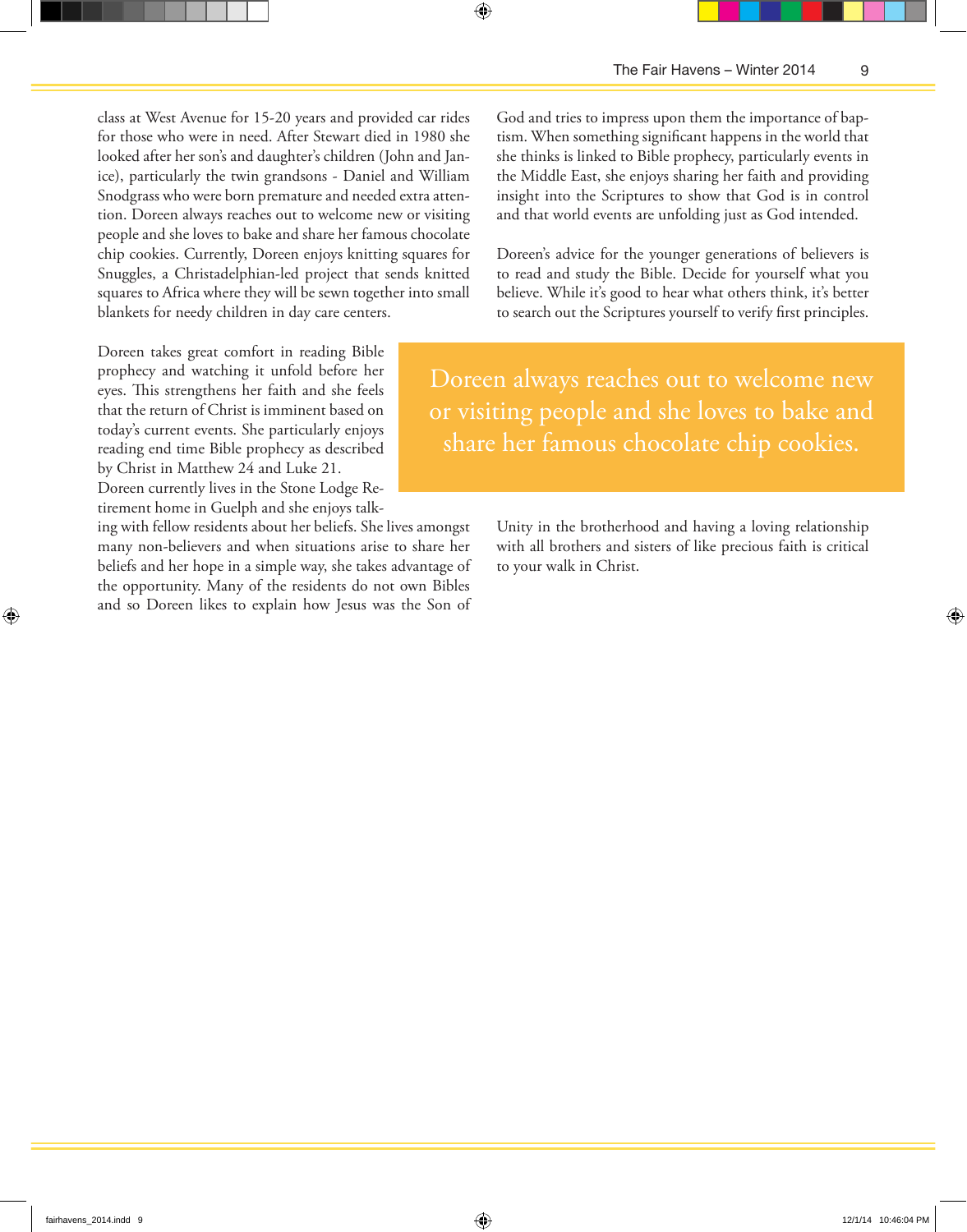class at West Avenue for 15-20 years and provided car rides for those who were in need. After Stewart died in 1980 she looked after her son's and daughter's children (John and Janice), particularly the twin grandsons - Daniel and William Snodgrass who were born premature and needed extra attention. Doreen always reaches out to welcome new or visiting people and she loves to bake and share her famous chocolate chip cookies. Currently, Doreen enjoys knitting squares for Snuggles, a Christadelphian-led project that sends knitted squares to Africa where they will be sewn together into small blankets for needy children in day care centers.

Doreen takes great comfort in reading Bible prophecy and watching it unfold before her eyes. This strengthens her faith and she feels that the return of Christ is imminent based on today's current events. She particularly enjoys reading end time Bible prophecy as described by Christ in Matthew 24 and Luke 21.

Doreen currently lives in the Stone Lodge Retirement home in Guelph and she enjoys talk-

ing with fellow residents about her beliefs. She lives amongst many non-believers and when situations arise to share her beliefs and her hope in a simple way, she takes advantage of the opportunity. Many of the residents do not own Bibles and so Doreen likes to explain how Jesus was the Son of

God and tries to impress upon them the importance of baptism. When something significant happens in the world that she thinks is linked to Bible prophecy, particularly events in the Middle East, she enjoys sharing her faith and providing insight into the Scriptures to show that God is in control and that world events are unfolding just as God intended.

⊕

Doreen's advice for the younger generations of believers is to read and study the Bible. Decide for yourself what you believe. While it's good to hear what others think, it's better to search out the Scriptures yourself to verify first principles.

Doreen always reaches out to welcome new or visiting people and she loves to bake and share her famous chocolate chip cookies.

> Unity in the brotherhood and having a loving relationship with all brothers and sisters of like precious faith is critical to your walk in Christ.

⊕